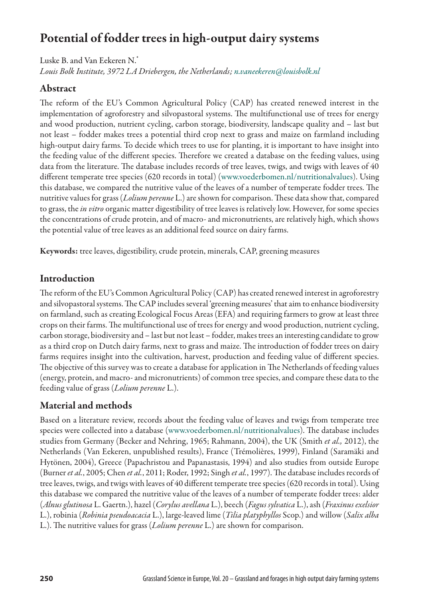## Potential of fodder trees in high-output dairy systems

Luske B. and Van Eekeren N.\* *Louis Bolk Institute, 3972 LA Driebergen, the Netherlands; [n.vaneekeren@louisbolk.nl](mailto:n.vaneekeren@louisbolk.nl)*

#### Abstract

The reform of the EU's Common Agricultural Policy (CAP) has created renewed interest in the implementation of agroforestry and silvopastoral systems. The multifunctional use of trees for energy and wood production, nutrient cycling, carbon storage, biodiversity, landscape quality and – last but not least – fodder makes trees a potential third crop next to grass and maize on farmland including high-output dairy farms. To decide which trees to use for planting, it is important to have insight into the feeding value of the different species. Therefore we created a database on the feeding values, using data from the literature. The database includes records of tree leaves, twigs, and twigs with leaves of 40 different temperate tree species (620 records in total) [\(www.voederbomen.nl/nutritionalvalues](www.voederbomen.nl/nutritionalvalues)). Using this database, we compared the nutritive value of the leaves of a number of temperate fodder trees. The nutritive values for grass (*Lolium perenne* L.) are shown for comparison. These data show that, compared to grass, the *in vitro* organic matter digestibility of tree leaves is relatively low. However, for some species the concentrations of crude protein, and of macro- and micronutrients, are relatively high, which shows the potential value of tree leaves as an additional feed source on dairy farms.

Keywords: tree leaves, digestibility, crude protein, minerals, CAP, greening measures

#### Introduction

The reform of the EU's Common Agricultural Policy (CAP) has created renewed interest in agroforestry and silvopastoral systems. The CAP includes several 'greening measures' that aim to enhance biodiversity on farmland, such as creating Ecological Focus Areas (EFA) and requiring farmers to grow at least three crops on their farms. The multifunctional use of trees for energy and wood production, nutrient cycling, carbon storage, biodiversity and – last but not least – fodder, makes trees an interesting candidate to grow as a third crop on Dutch dairy farms, next to grass and maize. The introduction of fodder trees on dairy farms requires insight into the cultivation, harvest, production and feeding value of different species. The objective of this survey was to create a database for application in The Netherlands of feeding values (energy, protein, and macro- and micronutrients) of common tree species, and compare these data to the feeding value of grass (*Lolium perenne* L.).

### Material and methods

Based on a literature review, records about the feeding value of leaves and twigs from temperate tree species were collected into a database [\(www.voederbomen.nl/nutritionalvalues\)](www.voederbomen.nl/nutritionalvalues). The database includes studies from Germany (Becker and Nehring, 1965; Rahmann, 2004), the UK (Smith *et al.,* 2012), the Netherlands (Van Eekeren, unpublished results), France (Trémolières, 1999), Finland (Saramäki and Hytönen, 2004), Greece (Papachristou and Papanastasis, 1994) and also studies from outside Europe (Burner *et al.*, 2005; Chen *et al.*, 2011; Roder, 1992; Singh *et al.*, 1997). The database includes records of tree leaves, twigs, and twigs with leaves of 40 different temperate tree species (620 records in total). Using this database we compared the nutritive value of the leaves of a number of temperate fodder trees: alder (*Alnus glutinosa* L. Gaertn.), hazel (*Corylus avellana* L.), beech (*Fagus sylvatica* L.), ash (*Fraxinus exelsior* L.), robinia (*Robinia pseudoacacia* L.), large-leaved lime (*Tilia platyphyllos* Scop.) and willow (*Salix alba* L.). The nutritive values for grass (*Lolium perenne* L.) are shown for comparison.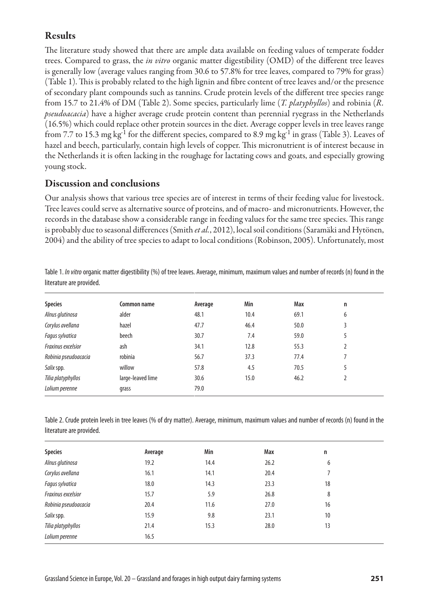#### Results

The literature study showed that there are ample data available on feeding values of temperate fodder trees. Compared to grass, the *in vitro* organic matter digestibility (OMD) of the different tree leaves is generally low (average values ranging from 30.6 to 57.8% for tree leaves, compared to 79% for grass) (Table 1). This is probably related to the high lignin and fibre content of tree leaves and/or the presence of secondary plant compounds such as tannins. Crude protein levels of the different tree species range from 15.7 to 21.4% of DM (Table 2). Some species, particularly lime (*T. platyphyllos*) and robinia (*R. pseudoacacia*) have a higher average crude protein content than perennial ryegrass in the Netherlands (16.5%) which could replace other protein sources in the diet. Average copper levels in tree leaves range from 7.7 to 15.3 mg kg<sup>-1</sup> for the different species, compared to 8.9 mg kg<sup>-1</sup> in grass (Table 3). Leaves of hazel and beech, particularly, contain high levels of copper. This micronutrient is of interest because in the Netherlands it is often lacking in the roughage for lactating cows and goats, and especially growing young stock.

#### Discussion and conclusions

Our analysis shows that various tree species are of interest in terms of their feeding value for livestock. Tree leaves could serve as alternative source of proteins, and of macro- and micronutrients. However, the records in the database show a considerable range in feeding values for the same tree species. This range is probably due to seasonal differences (Smith *et al.*, 2012), local soil conditions (Saramäki and Hytönen, 2004) and the ability of tree species to adapt to local conditions (Robinson, 2005). Unfortunately, most

| <b>Species</b>       | Common name       | Average | Min  | Max  | $\mathsf{n}$ |  |
|----------------------|-------------------|---------|------|------|--------------|--|
| Alnus glutinosa      | alder             | 48.1    | 10.4 | 69.1 | 6            |  |
| Corylus avellana     | hazel             | 47.7    | 46.4 | 50.0 | 3            |  |
| Fagus sylvatica      | beech             | 30.7    | 7.4  | 59.0 | 5            |  |
| Fraxinus excelsior   | ash               | 34.1    | 12.8 | 55.3 |              |  |
| Robinia pseudoacacia | robinia           | 56.7    | 37.3 | 77.4 |              |  |
| Salix spp.           | willow            | 57.8    | 4.5  | 70.5 | 5            |  |
| Tilia platyphyllos   | large-leaved lime | 30.6    | 15.0 | 46.2 |              |  |
| Lolium perenne       | grass             | 79.0    |      |      |              |  |

Table 1. *In vitro* organic matter digestibility (%) of tree leaves. Average, minimum, maximum values and number of records (n) found in the literature are provided.

Table 2. Crude protein levels in tree leaves (% of dry matter). Average, minimum, maximum values and number of records (n) found in the literature are provided.

| <b>Species</b>       | Average | Min  | Max  | $\mathsf{n}$ |  |
|----------------------|---------|------|------|--------------|--|
| Alnus glutinosa      | 19.2    | 14.4 | 26.2 | 6            |  |
| Corylus avellana     | 16.1    | 14.1 | 20.4 |              |  |
| Fagus sylvatica      | 18.0    | 14.3 | 23.3 | 18           |  |
| Fraxinus excelsior   | 15.7    | 5.9  | 26.8 | 8            |  |
| Robinia pseudoacacia | 20.4    | 11.6 | 27.0 | 16           |  |
| Salix spp.           | 15.9    | 9.8  | 23.1 | 10           |  |
| Tilia platyphyllos   | 21.4    | 15.3 | 28.0 | 13           |  |
| Lolium perenne       | 16.5    |      |      |              |  |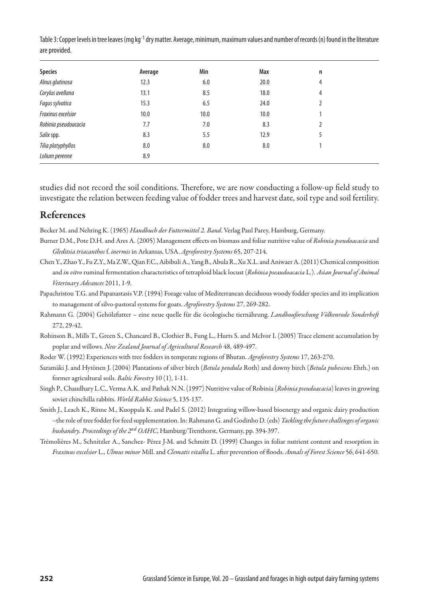Table 3: Copper levels in tree leaves (mg kg<sup>-1</sup> dry matter. Average, minimum, maximum values and number of records (n) found in the literature are provided.

| <b>Species</b>       | Average | Min  | Max  | n |  |
|----------------------|---------|------|------|---|--|
| Alnus glutinosa      | 12.3    | 6.0  | 20.0 | 4 |  |
| Corylus avellana     | 13.1    | 8.5  | 18.0 | 4 |  |
| Fagus sylvatica      | 15.3    | 6.5  | 24.0 |   |  |
| Fraxinus excelsior   | 10.0    | 10.0 | 10.0 |   |  |
| Robinia pseudoacacia | 7.7     | 7.0  | 8.3  | 2 |  |
| Salix spp.           | 8.3     | 5.5  | 12.9 | 5 |  |
| Tilia platyphyllos   | 8.0     | 8.0  | 8.0  |   |  |
| Lolium perenne       | 8.9     |      |      |   |  |
|                      |         |      |      |   |  |

studies did not record the soil conditions. Therefore, we are now conducting a follow-up field study to investigate the relation between feeding value of fodder trees and harvest date, soil type and soil fertility.

#### References

Becker M. and Nehring K. (1965) *Handbuch der Futtermittel 2. Band*. Verlag Paul Parey, Hamburg, Germany.

- Burner D.M., Pote D.H. and Ares A. (2005) Management effects on biomass and foliar nutritive value of *Robinia pseudoacacia* and *Gleditsia triacanthos* f. *inermis* in Arkansas, USA. *Agroforestry Systems* 65, 207-214.
- Chen Y., Zhao Y., Fu Z.Y., Ma Z.W., Qian F.C., Aibibuli A., Yang B., Abula R., Xu X.L. and Aniwaer A. (2011) Chemical composition and *in vitro* ruminal fermentation characteristics of tetraploid black locust (*Robinia pseaudoacacia* L*.*)*. Asian Journal of Animal Veterinary Advances* 2011, 1-9.
- Papachristou T.G. and Papanastasis V.P. (1994) Forage value of Mediterranean deciduous woody fodder species and its implication to management of silvo-pastoral systems for goats. *Agroforestry Systems* 27, 269-282.
- Rahmann G. (2004) Gehölzfutter eine neue quelle für die öcologische tiernährung. *Landbouforschung Völkenrode Sonderheft* 272, 29-42.
- Robinson B., Mills T., Green S., Chancarel B., Clothier B., Fung L., Hurts S. and McIvor I. (2005) Trace element accumulation by poplar and willows. *New Zealand Journal of Agricultural Research* 48, 489-497.
- Roder W. (1992) Experiences with tree fodders in temperate regions of Bhutan. *Agroforestry Systems* 17, 263-270.
- Saramäki J. and Hytönen J. (2004) Plantations of silver birch (*Betula pendula* Roth) and downy birch (*Betula pubescens* Ehrh.) on former agricultural soils. *Baltic Forestry* 10 (1), 1-11.
- Singh P., Chaudhary L.C., Verma A.K. and Pathak N.N. (1997) Nutritive value of Robinia (*Robinia pseudoacacia*) leaves in growing soviet chinchilla rabbits. *World Rabbit Science* 5, 135-137.
- Smith J., Leach K., Rinne M., Kuoppala K. and Padel S. (2012) Integrating willow-based bioenergy and organic dairy production –the role of tree fodder for feed supplementation. In: Rahmann G. and Godinho D. (eds) *Tackling the future challenges of organic husbandry. Proceedings of the 2nd OAHC*, Hamburg/Trenthorst, Germany, pp. 394-397.
- Trémolières M., Schnitzler A., Sanchez- Pérez J-M. and Schmitt D. (1999) Changes in foliar nutrient content and resorption in *Fraxinus excelsior* L., *Ulmus minor* Mill. and *Clematis vitalba* L. after prevention of floods. *Annals of Forest Science* 56, 641-650.